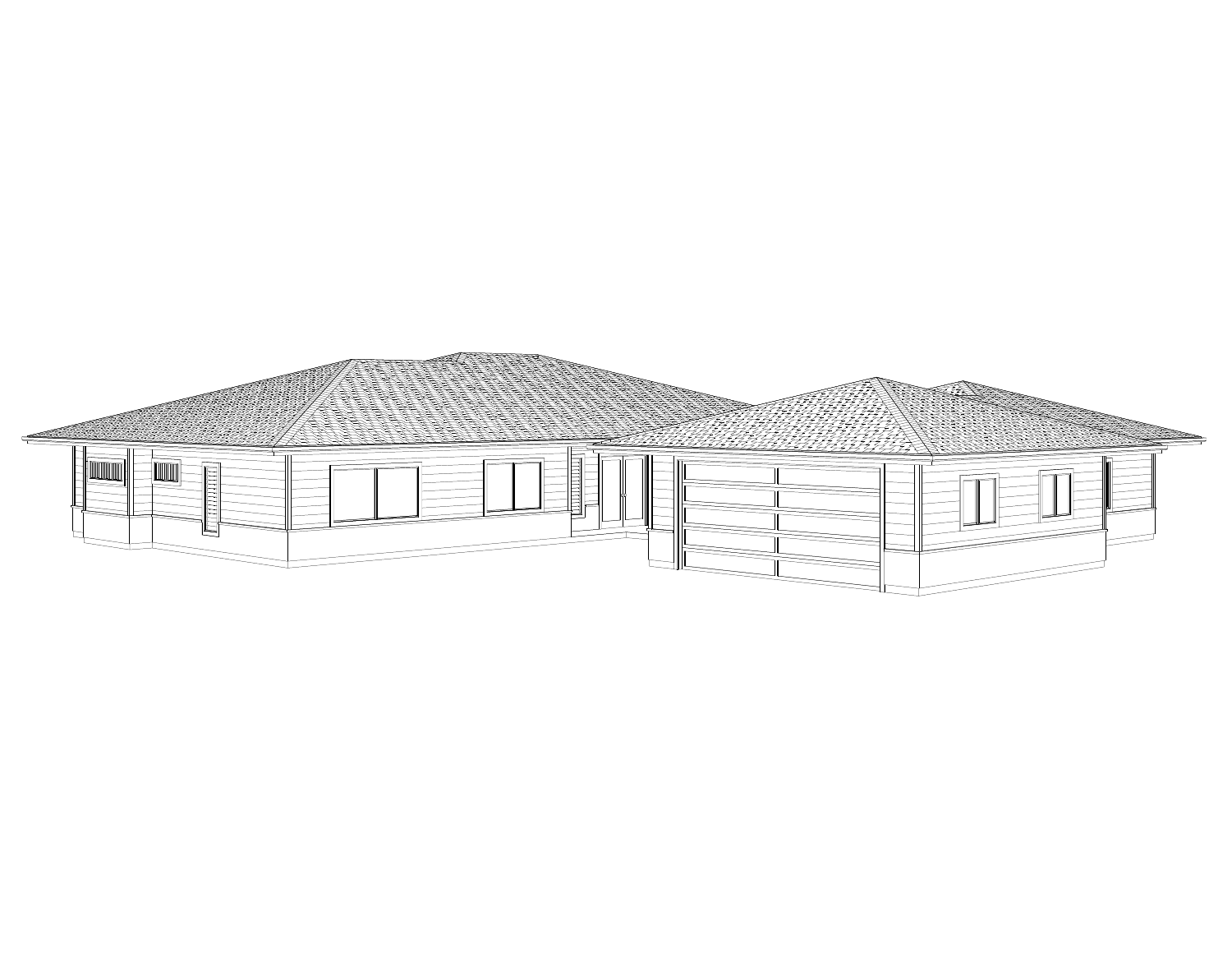